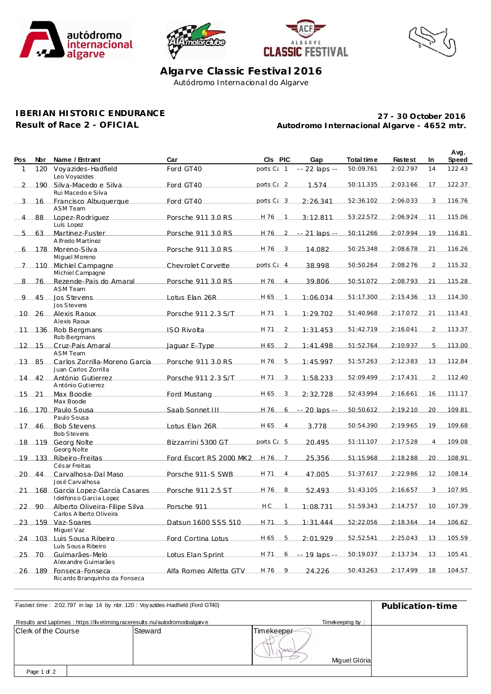







**Avg.**

**Algarve Classic Festival 2016** Autódromo Internacional do Algarve

## **IBERIAN HISTORIC ENDURANCE**

**Result of Race 2 - OFICIAL**

**Autodromo Internacional Algarve - 4652 mtr. 27 - 30 October 2016**

| <b>Pos</b>     | <b>Nbr</b>   | Name / Entrant                                            | Car                     | CIs PIC                |                | Gap           | Total time | <b>Fastest</b> | In             | rvy.<br><b>Speed</b> |
|----------------|--------------|-----------------------------------------------------------|-------------------------|------------------------|----------------|---------------|------------|----------------|----------------|----------------------|
| 1              | 120          | Voyazides-Hadfield<br>Leo Voyazides                       | Ford GT40               | ports $C_i$ 1          |                | -- 22 laps -- | 50:09.761  | 2:02.797       | 14             | 122.43               |
| $\mathcal{L}$  |              | 190 Silva-Macedo e Silva<br>Rui Macedo e Silva            | Ford GT40               | ports Ci 2             |                | 1.574         | 50:11.335  | 2:03.166       | 17             | 122.37               |
|                | $3 \quad 16$ | Francisco Albuquerque<br><b>ASM Team</b>                  | Ford GT40               | ports C <sub>i</sub> 3 |                | 2:26.341      | 52:36.102  | 2:06.033       | 3              | 116.76               |
| $\overline{4}$ | 88           | Lopez-Rodriguez<br>Luís Lopez                             | Porsche 911 3.0 RS      | H 76                   | $\overline{1}$ | 3:12.811      | 53:22.572  | 2:06.924       | 11             | 115.06               |
| 5              | 63           | Martinez-Fuster<br>A Ifredo Martinez                      | Porsche 911 3.0 RS      | H 76                   | $\overline{2}$ | -- 21 laps -- | 50:11.266  | 2:07.994       | 19             | 116.81               |
| 6              |              | 178 Moreno-Silva<br>Miguel Moreno                         | Porsche 911 3.0 RS      | H 76                   | 3              | 14.082        | 50:25.348  | 2:08.678       | 21             | 116.26               |
| 7              |              | 110 Michiel Campagne<br>Michiel Campagne                  | Chevrolet Corvette      | ports C <sub>i</sub> 4 |                | 38.998        | 50:50.264  | 2:08.276       | $\overline{2}$ | 115.32               |
|                | 8 76         | Rezende-Pais do Amaral<br><b>ASM Team</b>                 | Porsche 911 3.0 RS      | H 76                   | $\overline{4}$ | 39.806        | 50:51.072  | 2:08.793       | 21             | 115.28               |
| 9              | 45           | Jos Stevens<br>Jos Stevens                                | Lotus Elan 26R          | H 65                   | $\overline{1}$ | 1:06.034      | 51:17.300  | 2:15.436       | 13             | 114.30               |
|                | 10 26        | Alexis Raoux<br>Alexis Raoux                              | Porsche 911 2.3 S/T     | H 71                   | $\overline{1}$ | 1:29.702      | 51:40.968  | 2:17.072       | 21             | 113.43               |
| $-11$          |              | 136 Rob Bergmans<br>Rob Bergmans                          | <b>ISO Rivolta</b>      | H 71                   | $\overline{2}$ | 1:31.453      | 51:42.719  | 2:16.041       | $\overline{2}$ | 113.37               |
|                | $12$ 15      | Cruz-Pais Amaral<br><b>ASM Team</b>                       | Jaquar E-Type           | H 65 2                 |                | 1:41.498      | 51:52.764  | 2:10.937       | 5              | 113.00               |
|                | 1385         | Carlos Zorrilla-Moreno Garcia<br>Juan Carlos Zorrilla     | Porsche 911 3.0 RS      | H 76                   | 5              | 1:45.997      | 51:57.263  | 2:12.383       | 13             | 112.84               |
|                | 14 42        | António Gutierrez<br>António Gutierrez                    | Porsche 911 2.3 S/T     | H 71                   | 3              | 1:58.233      | 52:09.499  | 2:17.431       | 2              | 112.40               |
|                | $15$ 21      | Max Boodie<br>Max Boodie                                  | Ford Mustang            | H 65                   | 3              | 2:32.728      | 52:43.994  | 2:16.661       | 16             | 111.17               |
|                |              | 16 170 Paulo Sousa<br>Paulo Sousa                         | Saab Sonnet III         | H 76                   | 6              | -- 20 laps -- | 50:50.612  | 2:19.210       | 20             | 109.81               |
|                | 17 46        | <b>Bob Stevens</b><br><b>Bob Stevens</b>                  | Lotus Elan 26R          | H 65                   | $\overline{4}$ | 3.778         | 50:54.390  | 2:19.965       | 19             | 109.68               |
|                |              | 18 119 Georg Nolte<br>Georg Nolte                         | Bizzarrini 5300 GT      | ports $C_i$ 5          |                | 20.495        | 51:11.107  | 2:17.528       | $\overline{4}$ | 109.08               |
|                |              | 19 133 Ribeiro-Freitas<br>Cés ar Freitas                  | Ford Escort RS 2000 MK2 | H 76 7                 |                | 25.356        | 51:15.968  | 2:18.288       | 20             | 108.91               |
|                | 20 44        | Carvalhosa-Dal Maso<br>José Carvalhosa                    | Porsche 911-S SWB       | H 71                   | $\overline{4}$ | 47.005        | 51:37.617  | 2:22.986       | 12             | 108.14               |
| 21             |              | 168 Garcia Lopez-Garcia Casares<br>Idelfonso Garcia Lopez | Porsche 911 2.5 ST      | H 76                   | 8              | 52.493        | 51:43.105  | 2:16.657       | 3              | 107.95               |
| 22             | 90           | Alberto Oliveira-Filipe Silva<br>Carlos Alberto Oliveira  | Porsche 911             | H <sub>C</sub>         | $\overline{1}$ | 1:08.731      | 51:59.343  | 2:14.757       | 10             | 107.39               |
|                |              | 23 159 Vaz-Soares<br>Miguel Vaz                           | Datsun 1600 SSS 510     | H 71 5                 |                | 1:31.444      | 52:22.056  | 2:18.364       | 14             | 106.62               |
|                |              | 24 103 Luis Sousa Ribeiro<br>Luis Sousa Ribeiro           | Ford Cortina Lotus      | H 65 5                 |                | 2:01.929      | 52:52.541  | 2:25.043       | 13             | 105.59               |
|                | 25 70        | Guimarães-Melo<br>Alexandre Guimarães                     | Lotus Elan Sprint       | H 71                   | 6              | -- 19 laps -- | 50:19.037  | 2:13.734       | 13             | 105.41               |
|                |              | 26 189 Fonseca-Fonseca<br>Ricardo Branquinho da Fonseca   | Alfa Romeo Alfetta GTV  | H 76 9                 |                | 24.226        | 50:43.263  | 2:17.499       | 18             | 104.57               |

| Fastest time: 202.797 in lap 14 by nbr. 120: Voy azides-Hadfield (Ford GT40) | Publication-time |            |               |  |
|------------------------------------------------------------------------------|------------------|------------|---------------|--|
| Results and Laptimes: https://livetiming.raceresults.nu/autodromodoalgarve   |                  |            |               |  |
| Clerk of the Course                                                          | Steward          | Timekeeper | Miquel Glória |  |
| Page 1 of 2                                                                  |                  |            |               |  |